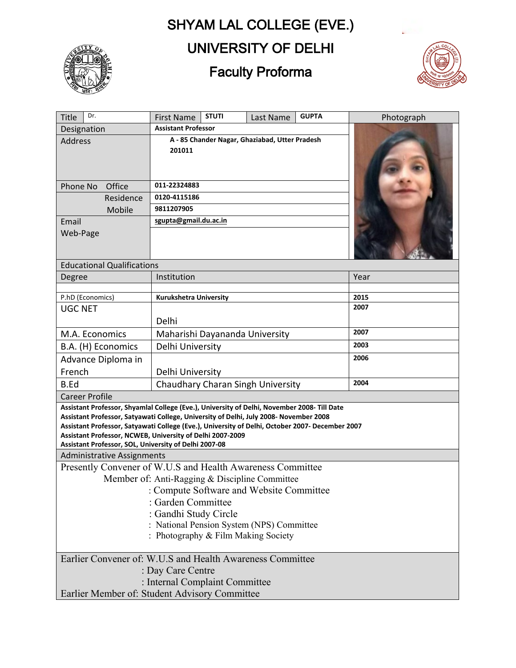# SHYAM LAL COLLEGE (EVE.)



# UNIVERSITY OF DELHI

# Faculty Proforma



| Dr.<br>Title                                                                                                                                                                             | <b>STUTI</b><br><b>First Name</b>                                                | Last Name | <b>GUPTA</b> | Photograph   |  |  |  |
|------------------------------------------------------------------------------------------------------------------------------------------------------------------------------------------|----------------------------------------------------------------------------------|-----------|--------------|--------------|--|--|--|
| Designation                                                                                                                                                                              | <b>Assistant Professor</b>                                                       |           |              |              |  |  |  |
| <b>Address</b>                                                                                                                                                                           | A - 85 Chander Nagar, Ghaziabad, Utter Pradesh                                   |           |              |              |  |  |  |
|                                                                                                                                                                                          | 201011                                                                           |           |              |              |  |  |  |
|                                                                                                                                                                                          |                                                                                  |           |              |              |  |  |  |
|                                                                                                                                                                                          |                                                                                  |           |              |              |  |  |  |
| Phone No<br>Office                                                                                                                                                                       | 011-22324883                                                                     |           |              |              |  |  |  |
| Residence                                                                                                                                                                                | 0120-4115186                                                                     |           |              |              |  |  |  |
| Mobile                                                                                                                                                                                   | 9811207905                                                                       |           |              |              |  |  |  |
| Email                                                                                                                                                                                    | sgupta@gmail.du.ac.in                                                            |           |              |              |  |  |  |
| Web-Page                                                                                                                                                                                 |                                                                                  |           |              |              |  |  |  |
|                                                                                                                                                                                          |                                                                                  |           |              |              |  |  |  |
| <b>Educational Qualifications</b>                                                                                                                                                        |                                                                                  |           |              |              |  |  |  |
| Degree                                                                                                                                                                                   | Institution                                                                      |           |              | Year         |  |  |  |
|                                                                                                                                                                                          |                                                                                  |           |              |              |  |  |  |
| P.hD (Economics)                                                                                                                                                                         | Kurukshetra University                                                           |           |              | 2015<br>2007 |  |  |  |
| <b>UGC NET</b>                                                                                                                                                                           |                                                                                  |           |              |              |  |  |  |
|                                                                                                                                                                                          | Delhi                                                                            |           |              | 2007         |  |  |  |
| M.A. Economics                                                                                                                                                                           | Maharishi Dayananda University                                                   |           |              |              |  |  |  |
| B.A. (H) Economics                                                                                                                                                                       | Delhi University                                                                 |           |              | 2003         |  |  |  |
| Advance Diploma in                                                                                                                                                                       |                                                                                  |           |              | 2006         |  |  |  |
| French                                                                                                                                                                                   | Delhi University                                                                 |           |              |              |  |  |  |
| <b>B.Ed</b>                                                                                                                                                                              | Chaudhary Charan Singh University                                                |           |              | 2004         |  |  |  |
| <b>Career Profile</b>                                                                                                                                                                    |                                                                                  |           |              |              |  |  |  |
| Assistant Professor, Shyamlal College (Eve.), University of Delhi, November 2008- Till Date                                                                                              |                                                                                  |           |              |              |  |  |  |
| Assistant Professor, Satyawati College, University of Delhi, July 2008- November 2008<br>Assistant Professor, Satyawati College (Eve.), University of Delhi, October 2007- December 2007 |                                                                                  |           |              |              |  |  |  |
| Assistant Professor, NCWEB, University of Delhi 2007-2009                                                                                                                                |                                                                                  |           |              |              |  |  |  |
| Assistant Professor, SOL, University of Delhi 2007-08                                                                                                                                    |                                                                                  |           |              |              |  |  |  |
| <b>Administrative Assignments</b>                                                                                                                                                        |                                                                                  |           |              |              |  |  |  |
| Presently Convener of W.U.S and Health Awareness Committee                                                                                                                               |                                                                                  |           |              |              |  |  |  |
| Member of: Anti-Ragging & Discipline Committee                                                                                                                                           |                                                                                  |           |              |              |  |  |  |
| : Compute Software and Website Committee                                                                                                                                                 |                                                                                  |           |              |              |  |  |  |
| : Garden Committee                                                                                                                                                                       |                                                                                  |           |              |              |  |  |  |
| : Gandhi Study Circle                                                                                                                                                                    |                                                                                  |           |              |              |  |  |  |
|                                                                                                                                                                                          | : National Pension System (NPS) Committee<br>: Photography & Film Making Society |           |              |              |  |  |  |
|                                                                                                                                                                                          |                                                                                  |           |              |              |  |  |  |
| Earlier Convener of: W.U.S and Health Awareness Committee                                                                                                                                |                                                                                  |           |              |              |  |  |  |
| : Day Care Centre                                                                                                                                                                        |                                                                                  |           |              |              |  |  |  |
| : Internal Complaint Committee                                                                                                                                                           |                                                                                  |           |              |              |  |  |  |
| Earlier Member of: Student Advisory Committee                                                                                                                                            |                                                                                  |           |              |              |  |  |  |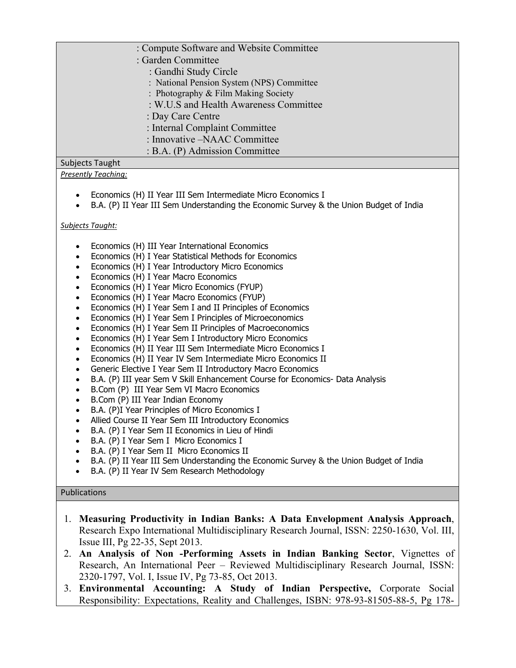## : Compute Software and Website Committee

- : Garden Committee
	- : Gandhi Study Circle
	- : National Pension System (NPS) Committee
	- : Photography & Film Making Society
	- : W.U.S and Health Awareness Committee
	- : Day Care Centre
	- : Internal Complaint Committee
	- : Innovative –NAAC Committee
	- : B.A. (P) Admission Committee

# Subjects Taught

## *Presently Teaching:*

- Economics (H) II Year III Sem Intermediate Micro Economics I
- B.A. (P) II Year III Sem Understanding the Economic Survey & the Union Budget of India

## *Subjects Taught:*

- Economics (H) III Year International Economics
- Economics (H) I Year Statistical Methods for Economics
- Economics (H) I Year Introductory Micro Economics
- Economics (H) I Year Macro Economics
- Economics (H) I Year Micro Economics (FYUP)
- Economics (H) I Year Macro Economics (FYUP)
- Economics (H) I Year Sem I and II Principles of Economics
- Economics (H) I Year Sem I Principles of Microeconomics
- Economics (H) I Year Sem II Principles of Macroeconomics
- Economics (H) I Year Sem I Introductory Micro Economics
- Economics (H) II Year III Sem Intermediate Micro Economics I
- Economics (H) II Year IV Sem Intermediate Micro Economics II
- Generic Elective I Year Sem II Introductory Macro Economics
- B.A. (P) III year Sem V Skill Enhancement Course for Economics- Data Analysis
- B.Com (P) III Year Sem VI Macro Economics
- B.Com (P) III Year Indian Economy
- B.A. (P)I Year Principles of Micro Economics I
- Allied Course II Year Sem III Introductory Economics
- B.A. (P) I Year Sem II Economics in Lieu of Hindi
- B.A. (P) I Year Sem I Micro Economics I
- B.A. (P) I Year Sem II Micro Economics II
- B.A. (P) II Year III Sem Understanding the Economic Survey & the Union Budget of India
- B.A. (P) II Year IV Sem Research Methodology

## Publications

- 1. **Measuring Productivity in Indian Banks: A Data Envelopment Analysis Approach**, Research Expo International Multidisciplinary Research Journal, ISSN: 2250-1630, Vol. III, Issue III, Pg 22-35, Sept 2013.
- 2. **An Analysis of Non -Performing Assets in Indian Banking Sector**, Vignettes of Research, An International Peer – Reviewed Multidisciplinary Research Journal, ISSN: 2320-1797, Vol. I, Issue IV, Pg 73-85, Oct 2013.
- 3. **Environmental Accounting: A Study of Indian Perspective,** Corporate Social Responsibility: Expectations, Reality and Challenges, ISBN: 978-93-81505-88-5, Pg 178-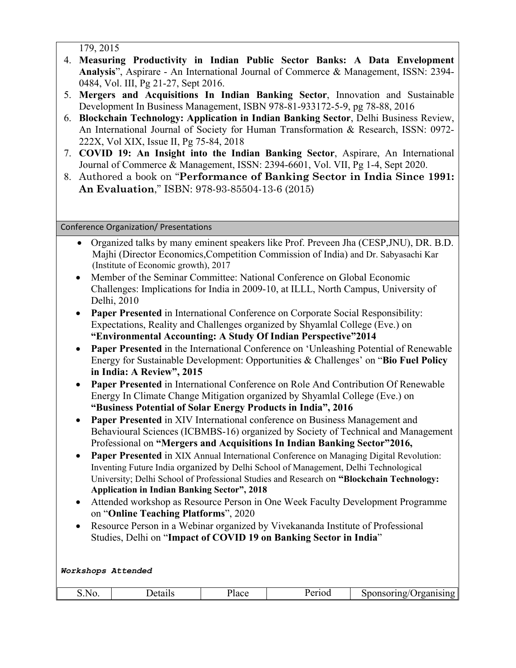179, 2015

- 4. **Measuring Productivity in Indian Public Sector Banks: A Data Envelopment Analysis**", Aspirare - An International Journal of Commerce & Management, ISSN: 2394- 0484, Vol. III, Pg 21-27, Sept 2016.
- 5. **Mergers and Acquisitions In Indian Banking Sector**, Innovation and Sustainable Development In Business Management, ISBN 978-81-933172-5-9, pg 78-88, 2016
- 6. **Blockchain Technology: Application in Indian Banking Sector**, Delhi Business Review, An International Journal of Society for Human Transformation & Research, ISSN: 0972- 222X, Vol XIX, Issue II, Pg 75-84, 2018
- 7. **COVID 19: An Insight into the Indian Banking Sector**, Aspirare, An International Journal of Commerce & Management, ISSN: 2394-6601, Vol. VII, Pg 1-4, Sept 2020.
- 8. Authored a book on "**Performance of Banking Sector in India Since 1991: An Evaluation**," ISBN: 978-93-85504-13-6 (2015)

Conference Organization/ Presentations

- Organized talks by many eminent speakers like Prof. Preveen Jha (CESP,JNU), DR. B.D. Majhi (Director Economics,Competition Commission of India) and Dr. Sabyasachi Kar (Institute of Economic growth), 2017
- Member of the Seminar Committee: National Conference on Global Economic Challenges: Implications for India in 2009-10, at ILLL, North Campus, University of Delhi, 2010
- **Paper Presented** in International Conference on Corporate Social Responsibility: Expectations, Reality and Challenges organized by Shyamlal College (Eve.) on **"Environmental Accounting: A Study Of Indian Perspective"2014**
- **Paper Presented** in the International Conference on 'Unleashing Potential of Renewable Energy for Sustainable Development: Opportunities & Challenges' on "**Bio Fuel Policy in India: A Review", 2015**
- **Paper Presented** in International Conference on Role And Contribution Of Renewable Energy In Climate Change Mitigation organized by Shyamlal College (Eve.) on **"Business Potential of Solar Energy Products in India", 2016**
- **Paper Presented** in XIV International conference on Business Management and Behavioural Sciences (ICBMBS-16) organized by Society of Technical and Management Professional on **"Mergers and Acquisitions In Indian Banking Sector"2016,**
- **Paper Presented** in XIX Annual International Conference on Managing Digital Revolution: Inventing Future India organized by Delhi School of Management, Delhi Technological University; Delhi School of Professional Studies and Research on **"Blockchain Technology: Application in Indian Banking Sector", 2018**
- Attended workshop as Resource Person in One Week Faculty Development Programme on "**Online Teaching Platforms**", 2020
- Resource Person in a Webinar organized by Vivekananda Institute of Professional Studies, Delhi on "**Impact of COVID 19 on Banking Sector in India**"

*Workshops Attended*

| A) O<br>roan.<br>10 مار<br>. v | - - -<br>5.00. | 110 | lace | ---- | $\sim$ $\sim$ $\sim$ $\prime$ $\sim$<br>31 L |
|--------------------------------|----------------|-----|------|------|----------------------------------------------|
|--------------------------------|----------------|-----|------|------|----------------------------------------------|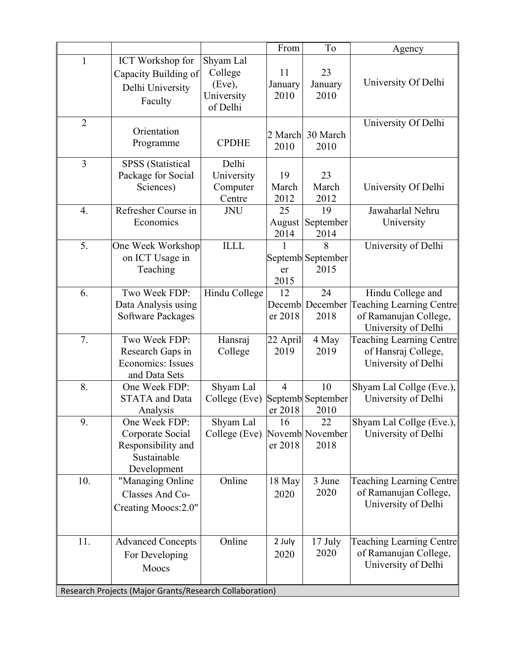|                  |                                                                                                                |                                                          | From                      | To                              | Agency                                                                                        |
|------------------|----------------------------------------------------------------------------------------------------------------|----------------------------------------------------------|---------------------------|---------------------------------|-----------------------------------------------------------------------------------------------|
| $\mathbf{1}$     | <b>ICT</b> Workshop for<br>Capacity Building of<br>Delhi University<br>Faculty                                 | Shyam Lal<br>College<br>(Eve),<br>University<br>of Delhi | 11<br>January<br>2010     | 23<br>January<br>2010           | University Of Delhi                                                                           |
| $\overline{2}$   | Orientation<br>Programme                                                                                       | <b>CPDHE</b>                                             | 2 March<br>2010           | 30 March<br>2010                | University Of Delhi                                                                           |
| $\overline{3}$   | <b>SPSS</b> (Statistical<br>Package for Social<br>Sciences)                                                    | Delhi<br>University<br>Computer<br>Centre                | 19<br>March<br>2012       | 23<br>March<br>2012             | University Of Delhi                                                                           |
| $\overline{4}$ . | Refresher Course in<br>Economics                                                                               | <b>JNU</b>                                               | 25<br>August<br>2014      | 19<br>September<br>2014         | Jawaharlal Nehru<br>University                                                                |
| 5.               | One Week Workshop<br>on ICT Usage in<br>Teaching                                                               | <b>ILLL</b>                                              | 1<br>er<br>2015           | 8<br>Septemb September<br>2015  | University of Delhi                                                                           |
| 6.               | Two Week FDP:<br>Data Analysis using<br><b>Software Packages</b>                                               | Hindu College                                            | 12<br>Decemb<br>er 2018   | 24<br>December<br>2018          | Hindu College and<br>Teaching Learning Centre<br>of Ramanujan College,<br>University of Delhi |
| 7.               | Two Week FDP:<br>Research Gaps in<br>Economics: Issues<br>and Data Sets                                        | Hansraj<br>College                                       | 22 April<br>2019          | 4 May<br>2019                   | <b>Teaching Learning Centre</b><br>of Hansraj College,<br>University of Delhi                 |
| 8.               | One Week FDP:<br><b>STATA</b> and Data<br>Analysis                                                             | Shyam Lal<br>College (Eve)                               | $\overline{4}$<br>er 2018 | 10<br>Septemb September<br>2010 | Shyam Lal Collge (Eve.),<br>University of Delhi                                               |
| 9.               | One Week FDP:<br>Corporate Social<br>Responsibility and<br>Sustainable<br>Development                          | Shyam Lal<br>College (Eve)                               | 16<br>er 2018             | 22<br>Novemb November<br>2018   | Shyam Lal Collge (Eve.),<br>University of Delhi                                               |
| 10.              | "Managing Online<br>Classes And Co-<br>Creating Moocs: 2.0"                                                    | Online                                                   | 18 May<br>2020            | 3 June<br>2020                  | Teaching Learning Centre<br>of Ramanujan College,<br>University of Delhi                      |
| 11.              | <b>Advanced Concepts</b><br>For Developing<br>Moocs<br>Research Projects (Major Grants/Research Collaboration) | Online                                                   | 2 July<br>2020            | 17 July<br>2020                 | Teaching Learning Centre<br>of Ramanujan College,<br>University of Delhi                      |